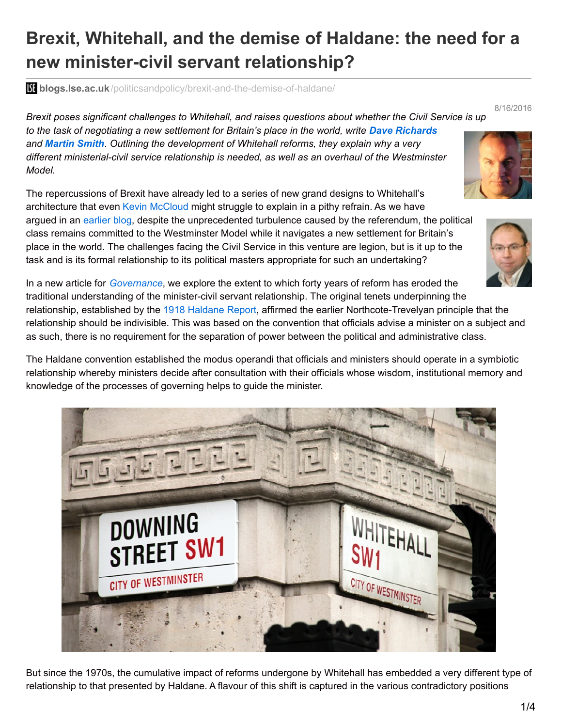## **Brexit, Whitehall, and the demise of Haldane: the need for a new minister-civil servant relationship?**

**bliogs.lse.ac.uk**[/politicsandpolicy/brexit-and-the-demise-of-haldane/](http://blogs.lse.ac.uk/politicsandpolicy/brexit-and-the-demise-of-haldane/)

*Brexit poses significant challenges to Whitehall, and raises questions about whether the Civil Service is up to the task of negotiating a new settlement for Britain's place in the world, write Dave Richards and Martin Smith. Outlining the development of Whitehall reforms, they explain why a very different ministerial-civil service relationship is needed, as well as an overhaul of the Westminster Model.*

The repercussions of Brexit have already led to a series of new grand designs to Whitehall's architecture that even Kevin [McCloud](https://en.wikipedia.org/wiki/Kevin_McCloud) might struggle to explain in a pithy refrain. As we have argued in an [earlier](http://blogs.lse.ac.uk/politicsandpolicy/brexit-and-the-british-political-tradition/) blog, despite the unprecedented turbulence caused by the referendum, the political class remains committed to the Westminster Model while it navigates a new settlement for Britain's place in the world. The challenges facing the Civil Service in this venture are legion, but is it up to the task and is its formal relationship to its political masters appropriate for such an undertaking?

In a new article for *[Governance](http://onlinelibrary.wiley.com/doi/10.1111/gove.12225/full)*, we explore the extent to which forty years of reform has eroded the traditional understanding of the minister-civil servant relationship. The original tenets underpinning the relationship, established by the 1918 [Haldane](http://www.civilservant.org.uk/haldanereport.pdf) Report, affirmed the earlier Northcote-Trevelyan principle that the relationship should be indivisible. This was based on the convention that officials advise a minister on a subject and as such, there is no requirement for the separation of power between the political and administrative class.

The Haldane convention established the modus operandi that officials and ministers should operate in a symbiotic relationship whereby ministers decide after consultation with their officials whose wisdom, institutional memory and knowledge of the processes of governing helps to guide the minister.









8/16/2016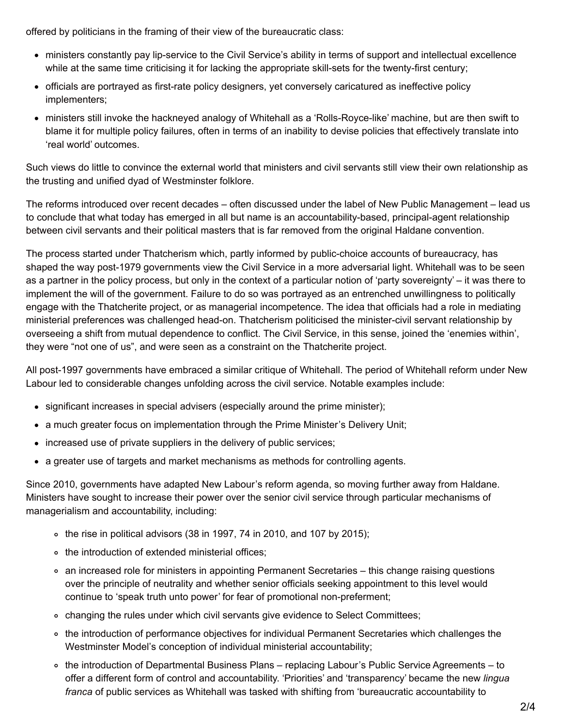offered by politicians in the framing of their view of the bureaucratic class:

- ministers constantly pay lip-service to the Civil Service's ability in terms of support and intellectual excellence while at the same time criticising it for lacking the appropriate skill-sets for the twenty-first century;
- officials are portrayed as first-rate policy designers, yet conversely caricatured as ineffective policy implementers;
- ministers still invoke the hackneyed analogy of Whitehall as a 'Rolls-Royce-like' machine, but are then swift to blame it for multiple policy failures, often in terms of an inability to devise policies that effectively translate into 'real world' outcomes.

Such views do little to convince the external world that ministers and civil servants still view their own relationship as the trusting and unified dyad of Westminster folklore.

The reforms introduced over recent decades – often discussed under the label of New Public Management – lead us to conclude that what today has emerged in all but name is an accountability-based, principal-agent relationship between civil servants and their political masters that is far removed from the original Haldane convention.

The process started under Thatcherism which, partly informed by public-choice accounts of bureaucracy, has shaped the way post-1979 governments view the Civil Service in a more adversarial light. Whitehall was to be seen as a partner in the policy process, but only in the context of a particular notion of 'party sovereignty' – it was there to implement the will of the government. Failure to do so was portrayed as an entrenched unwillingness to politically engage with the Thatcherite project, or as managerial incompetence. The idea that officials had a role in mediating ministerial preferences was challenged head-on. Thatcherism politicised the minister-civil servant relationship by overseeing a shift from mutual dependence to conflict. The Civil Service, in this sense, joined the 'enemies within', they were "not one of us", and were seen as a constraint on the Thatcherite project.

All post-1997 governments have embraced a similar critique of Whitehall. The period of Whitehall reform under New Labour led to considerable changes unfolding across the civil service. Notable examples include:

- significant increases in special advisers (especially around the prime minister);
- a much greater focus on implementation through the Prime Minister's Delivery Unit;
- increased use of private suppliers in the delivery of public services;
- a greater use of targets and market mechanisms as methods for controlling agents.

Since 2010, governments have adapted New Labour's reform agenda, so moving further away from Haldane. Ministers have sought to increase their power over the senior civil service through particular mechanisms of managerialism and accountability, including:

- $\circ$  the rise in political advisors (38 in 1997, 74 in 2010, and 107 by 2015);
- o the introduction of extended ministerial offices:
- an increased role for ministers in appointing Permanent Secretaries this change raising questions over the principle of neutrality and whether senior officials seeking appointment to this level would continue to 'speak truth unto power' for fear of promotional non-preferment;
- changing the rules under which civil servants give evidence to Select Committees;
- the introduction of performance objectives for individual Permanent Secretaries which challenges the Westminster Model's conception of individual ministerial accountability;
- the introduction of Departmental Business Plans replacing Labour's Public Service Agreements to offer a different form of control and accountability. 'Priorities' and 'transparency' became the new *lingua franca* of public services as Whitehall was tasked with shifting from 'bureaucratic accountability to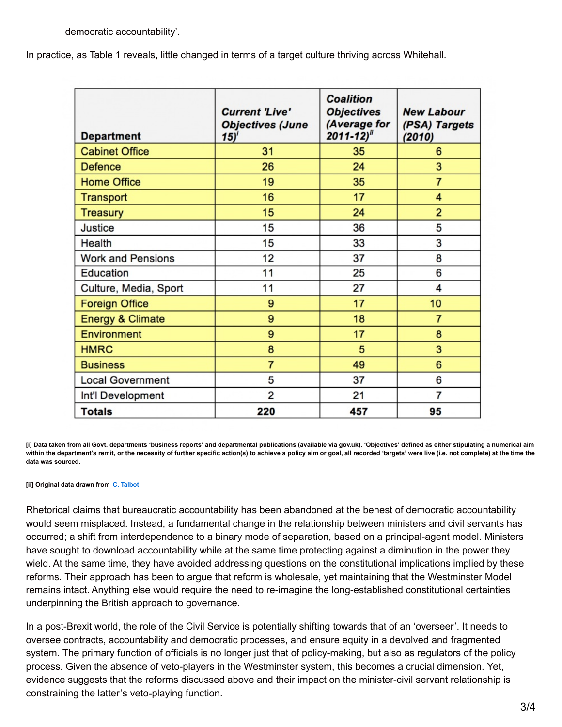In practice, as Table 1 reveals, little changed in terms of a target culture thriving across Whitehall.

| <b>Department</b>           | <b>Current 'Live'</b><br><b>Objectives (June</b><br>15)' | <b>Coalition</b><br><b>Objectives</b><br>(Average for<br>$2011 - 12$ <sup>ii</sup> | <b>New Labour</b><br>(PSA) Targets<br>(2010) |
|-----------------------------|----------------------------------------------------------|------------------------------------------------------------------------------------|----------------------------------------------|
| <b>Cabinet Office</b>       | 31                                                       | 35                                                                                 | 6                                            |
| <b>Defence</b>              | 26                                                       | 24                                                                                 | 3                                            |
| <b>Home Office</b>          | 19                                                       | 35                                                                                 | $\overline{7}$                               |
| <b>Transport</b>            | 16                                                       | 17                                                                                 | 4                                            |
| <b>Treasury</b>             | 15                                                       | 24                                                                                 | $\overline{2}$                               |
| <b>Justice</b>              | 15                                                       | 36                                                                                 | 5                                            |
| Health                      | 15                                                       | 33                                                                                 | 3                                            |
| <b>Work and Pensions</b>    | 12                                                       | 37                                                                                 | 8                                            |
| Education                   | 11                                                       | 25                                                                                 | 6                                            |
| Culture, Media, Sport       | 11                                                       | 27                                                                                 | 4                                            |
| <b>Foreign Office</b>       | 9                                                        | 17                                                                                 | 10                                           |
| <b>Energy &amp; Climate</b> | 9                                                        | 18                                                                                 | $\overline{7}$                               |
| <b>Environment</b>          | 9                                                        | 17                                                                                 | 8                                            |
| <b>HMRC</b>                 | 8                                                        | 5                                                                                  | 3                                            |
| <b>Business</b>             | $\overline{7}$                                           | 49                                                                                 | 6                                            |
| <b>Local Government</b>     | 5                                                        | 37                                                                                 | 6                                            |
| Int'l Development           | 2                                                        | 21                                                                                 | 7                                            |
| <b>Totals</b>               | 220                                                      | 457                                                                                | 95                                           |

[i] Data taken from all Govt. departments 'business reports' and departmental publications (available via gov.uk). 'Objectives' defined as either stipulating a numerical aim within the department's remit, or the necessity of further specific action(s) to achieve a policy aim or goal, all recorded 'targets' were live (i.e. not complete) at the time the **data was sourced.**

**[ii] Original data drawn from C. [Talbot](http://blog.policy.manchester.ac.uk/whitehallwatch/2012/08/targets-what-targets-change-and-continuity-in-the-performance-regime-in-whitehall/)**

Rhetorical claims that bureaucratic accountability has been abandoned at the behest of democratic accountability would seem misplaced. Instead, a fundamental change in the relationship between ministers and civil servants has occurred; a shift from interdependence to a binary mode of separation, based on a principal-agent model. Ministers have sought to download accountability while at the same time protecting against a diminution in the power they wield. At the same time, they have avoided addressing questions on the constitutional implications implied by these reforms. Their approach has been to argue that reform is wholesale, yet maintaining that the Westminster Model remains intact. Anything else would require the need to re-imagine the long-established constitutional certainties underpinning the British approach to governance.

In a post-Brexit world, the role of the Civil Service is potentially shifting towards that of an 'overseer'. It needs to oversee contracts, accountability and democratic processes, and ensure equity in a devolved and fragmented system. The primary function of officials is no longer just that of policy-making, but also as regulators of the policy process. Given the absence of veto-players in the Westminster system, this becomes a crucial dimension. Yet, evidence suggests that the reforms discussed above and their impact on the minister-civil servant relationship is constraining the latter's veto-playing function.